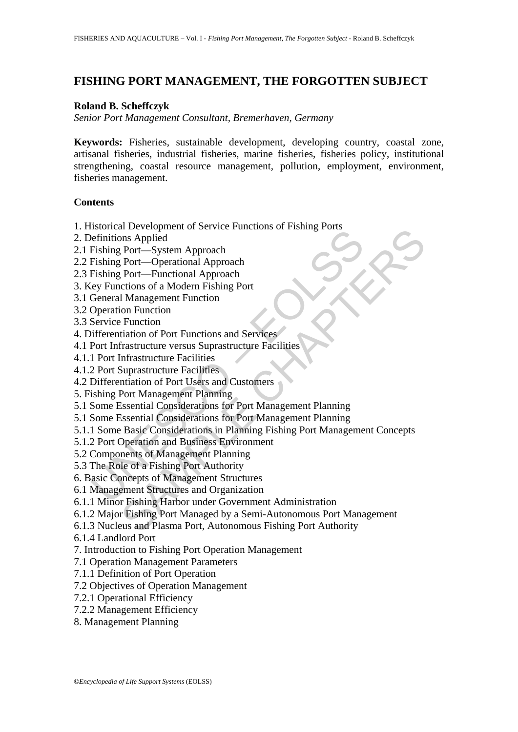# **FISHING PORT MANAGEMENT, THE FORGOTTEN SUBJECT**

### **Roland B. Scheffczyk**

*Senior Port Management Consultant, Bremerhaven, Germany* 

**Keywords:** Fisheries, sustainable development, developing country, coastal zone, artisanal fisheries, industrial fisheries, marine fisheries, fisheries policy, institutional strengthening, coastal resource management, pollution, employment, environment, fisheries management.

#### **Contents**

- 1. Historical Development of Service Functions of Fishing Ports
- 2. Definitions Applied
- 2.1 Fishing Port—System Approach
- 2.2 Fishing Port—Operational Approach
- 2.3 Fishing Port—Functional Approach
- 3. Key Functions of a Modern Fishing Port
- 3.1 General Management Function
- 3.2 Operation Function
- 3.3 Service Function
- 4. Differentiation of Port Functions and Services
- 4.1 Port Infrastructure versus Suprastructure Facilities
- 4.1.1 Port Infrastructure Facilities
- 4.1.2 Port Suprastructure Facilities
- 4.2 Differentiation of Port Users and Customers
- 5. Fishing Port Management Planning
- 5.1 Some Essential Considerations for Port Management Planning
- 5.1 Some Essential Considerations for Port Management Planning
- External Development of Science and Organization<br>
Fishing Port—System Approach<br>
Fishing Port—System Approach<br>
Fishing Port—System Approach<br>
Fishing Port—Functional Approach<br>
General Management Function<br>
Operation Function<br> Tractional Approach<br>
In Constraining Tractional Approach<br>
Dent—Operational Approach<br>
Port—System Approach<br>
Port—System Approach<br>
Chinagement Function<br>
Chinagement Function<br>
Function<br>
Function<br>
Function<br>
Function<br>
Function<br> 5.1.1 Some Basic Considerations in Planning Fishing Port Management Concepts
- 5.1.2 Port Operation and Business Environment
- 5.2 Components of Management Planning
- 5.3 The Role of a Fishing Port Authority
- 6. Basic Concepts of Management Structures
- 6.1 Management Structures and Organization
- 6.1.1 Minor Fishing Harbor under Government Administration
- 6.1.2 Major Fishing Port Managed by a Semi-Autonomous Port Management
- 6.1.3 Nucleus and Plasma Port, Autonomous Fishing Port Authority
- 6.1.4 Landlord Port
- 7. Introduction to Fishing Port Operation Management
- 7.1 Operation Management Parameters
- 7.1.1 Definition of Port Operation
- 7.2 Objectives of Operation Management
- 7.2.1 Operational Efficiency
- 7.2.2 Management Efficiency
- 8. Management Planning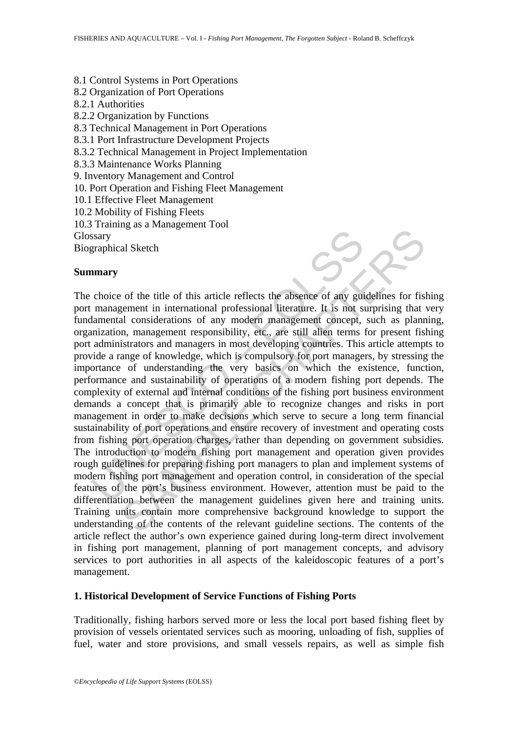- 8.1 Control Systems in Port Operations
- 8.2 Organization of Port Operations
- 8.2.1 Authorities
- 8.2.2 Organization by Functions
- 8.3 Technical Management in Port Operations
- 8.3.1 Port Infrastructure Development Projects
- 8.3.2 Technical Management in Project Implementation
- 8.3.3 Maintenance Works Planning
- 9. Inventory Management and Control
- 10. Port Operation and Fishing Fleet Management
- 10.1 Effective Fleet Management
- 10.2 Mobility of Fishing Fleets
- 10.3 Training as a Management Tool
- Glossary

Biographical Sketch

#### **Summary**

Stary<br>
stary<br>
praphical Sketch<br> **nmary**<br>
choice of the title of this article reflects the absence of any gui<br>
management in international professional literature. It is not stand<br>
ninization, management responsibility, etc al Sketch<br>
of the title of this article reflects the absence of any guidelines for fisic<br>
expected in international professional literature. It is not surprising that<br>
all considerations of any modern management concept, s The choice of the title of this article reflects the absence of any guidelines for fishing port management in international professional literature. It is not surprising that very fundamental considerations of any modern management concept, such as planning, organization, management responsibility, etc., are still alien terms for present fishing port administrators and managers in most developing countries. This article attempts to provide a range of knowledge, which is compulsory for port managers, by stressing the importance of understanding the very basics on which the existence, function, performance and sustainability of operations of a modern fishing port depends. The complexity of external and internal conditions of the fishing port business environment demands a concept that is primarily able to recognize changes and risks in port management in order to make decisions which serve to secure a long term financial sustainability of port operations and ensure recovery of investment and operating costs from fishing port operation charges, rather than depending on government subsidies. The introduction to modern fishing port management and operation given provides rough guidelines for preparing fishing port managers to plan and implement systems of modern fishing port management and operation control, in consideration of the special features of the port's business environment. However, attention must be paid to the differentiation between the management guidelines given here and training units. Training units contain more comprehensive background knowledge to support the understanding of the contents of the relevant guideline sections. The contents of the article reflect the author's own experience gained during long-term direct involvement in fishing port management, planning of port management concepts, and advisory services to port authorities in all aspects of the kaleidoscopic features of a port's management.

#### **1. Historical Development of Service Functions of Fishing Ports**

Traditionally, fishing harbors served more or less the local port based fishing fleet by provision of vessels orientated services such as mooring, unloading of fish, supplies of fuel, water and store provisions, and small vessels repairs, as well as simple fish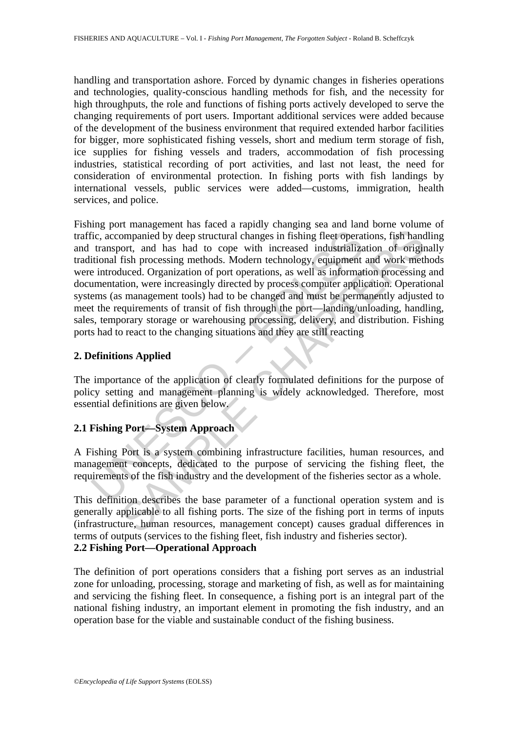handling and transportation ashore. Forced by dynamic changes in fisheries operations and technologies, quality-conscious handling methods for fish, and the necessity for high throughputs, the role and functions of fishing ports actively developed to serve the changing requirements of port users. Important additional services were added because of the development of the business environment that required extended harbor facilities for bigger, more sophisticated fishing vessels, short and medium term storage of fish, ice supplies for fishing vessels and traders, accommodation of fish processing industries, statistical recording of port activities, and last not least, the need for consideration of environmental protection. In fishing ports with fish landings by international vessels, public services were added—customs, immigration, health services, and police.

ic, accompanied by deep structural changes in fishing fleet operat<br>transport, and has had to cope with increased industrializa<br>titional fish processing methods. Modern technology, equipment<br>introduced. Organization of port implement by deep structural changes in fishing fleet operations, fish hand<br>ont, and has had to cope with increased industrialization of origin<br>fish processing methods. Modern technology, equipment and work met<br>fitch corre Fishing port management has faced a rapidly changing sea and land borne volume of traffic, accompanied by deep structural changes in fishing fleet operations, fish handling and transport, and has had to cope with increased industrialization of originally traditional fish processing methods. Modern technology, equipment and work methods were introduced. Organization of port operations, as well as information processing and documentation, were increasingly directed by process computer application. Operational systems (as management tools) had to be changed and must be permanently adjusted to meet the requirements of transit of fish through the port—landing/unloading, handling, sales, temporary storage or warehousing processing, delivery, and distribution. Fishing ports had to react to the changing situations and they are still reacting

### **2. Definitions Applied**

The importance of the application of clearly formulated definitions for the purpose of policy setting and management planning is widely acknowledged. Therefore, most essential definitions are given below.

## **2.1 Fishing Port—System Approach**

A Fishing Port is a system combining infrastructure facilities, human resources, and management concepts, dedicated to the purpose of servicing the fishing fleet, the requirements of the fish industry and the development of the fisheries sector as a whole.

This definition describes the base parameter of a functional operation system and is generally applicable to all fishing ports. The size of the fishing port in terms of inputs (infrastructure, human resources, management concept) causes gradual differences in terms of outputs (services to the fishing fleet, fish industry and fisheries sector). **2.2 Fishing Port—Operational Approach** 

The definition of port operations considers that a fishing port serves as an industrial zone for unloading, processing, storage and marketing of fish, as well as for maintaining and servicing the fishing fleet. In consequence, a fishing port is an integral part of the national fishing industry, an important element in promoting the fish industry, and an operation base for the viable and sustainable conduct of the fishing business.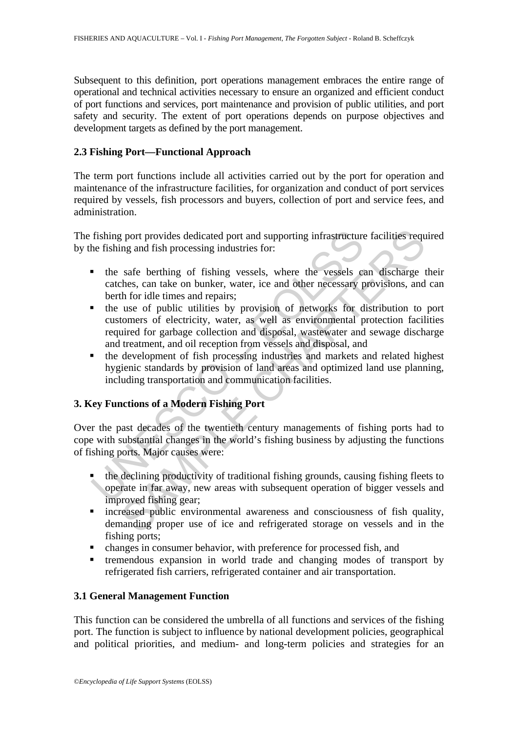Subsequent to this definition, port operations management embraces the entire range of operational and technical activities necessary to ensure an organized and efficient conduct of port functions and services, port maintenance and provision of public utilities, and port safety and security. The extent of port operations depends on purpose objectives and development targets as defined by the port management.

## **2.3 Fishing Port—Functional Approach**

The term port functions include all activities carried out by the port for operation and maintenance of the infrastructure facilities, for organization and conduct of port services required by vessels, fish processors and buyers, collection of port and service fees, and administration.

The fishing port provides dedicated port and supporting infrastructure facilities required by the fishing and fish processing industries for:

- the safe berthing of fishing vessels, where the vessels can discharge their catches, can take on bunker, water, ice and other necessary provisions, and can berth for idle times and repairs;
- **The fishing port provides dedicated port and supporting infrastructure**<br> **I** the fishing and fish processing industries for:<br> **The safe berthing of fishing vessels, where the vessels certicated and the second the set of p** If yort provides dedicated port and supporting infrastructure facilities requing and fish processing industries for:<br>safe berthing of fishing vessels, where the vessels can discharge thes, can take on bunker, water, ice an the use of public utilities by provision of networks for distribution to port customers of electricity, water, as well as environmental protection facilities required for garbage collection and disposal, wastewater and sewage discharge and treatment, and oil reception from vessels and disposal, and
- the development of fish processing industries and markets and related highest hygienic standards by provision of land areas and optimized land use planning, including transportation and communication facilities.

## **3. Key Functions of a Modern Fishing Port**

Over the past decades of the twentieth century managements of fishing ports had to cope with substantial changes in the world's fishing business by adjusting the functions of fishing ports. Major causes were:

- the declining productivity of traditional fishing grounds, causing fishing fleets to operate in far away, new areas with subsequent operation of bigger vessels and improved fishing gear;
- increased public environmental awareness and consciousness of fish quality, demanding proper use of ice and refrigerated storage on vessels and in the fishing ports;
- changes in consumer behavior, with preference for processed fish, and
- tremendous expansion in world trade and changing modes of transport by refrigerated fish carriers, refrigerated container and air transportation.

### **3.1 General Management Function**

This function can be considered the umbrella of all functions and services of the fishing port. The function is subject to influence by national development policies, geographical and political priorities, and medium- and long-term policies and strategies for an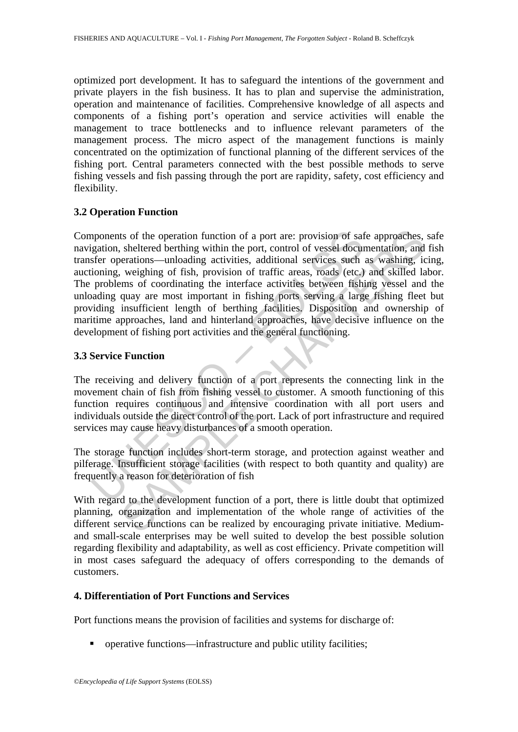optimized port development. It has to safeguard the intentions of the government and private players in the fish business. It has to plan and supervise the administration, operation and maintenance of facilities. Comprehensive knowledge of all aspects and components of a fishing port's operation and service activities will enable the management to trace bottlenecks and to influence relevant parameters of the management process. The micro aspect of the management functions is mainly concentrated on the optimization of functional planning of the different services of the fishing port. Central parameters connected with the best possible methods to serve fishing vessels and fish passing through the port are rapidity, safety, cost efficiency and flexibility.

#### **3.2 Operation Function**

apponents of the operation function of a port are: provision of satigation, sheltered berthing within the port, control of vessel docurafer operations—unloading activities, additional services such ioning, weighing of fish ts of the operation function of a port are: provision of safe approaches, sheltered berthing within the port, control of vessel documentation, and experations—unloading activities, additional services such as washing, ical Components of the operation function of a port are: provision of safe approaches, safe navigation, sheltered berthing within the port, control of vessel documentation, and fish transfer operations—unloading activities, additional services such as washing, icing, auctioning, weighing of fish, provision of traffic areas, roads (etc.) and skilled labor. The problems of coordinating the interface activities between fishing vessel and the unloading quay are most important in fishing ports serving a large fishing fleet but providing insufficient length of berthing facilities. Disposition and ownership of maritime approaches, land and hinterland approaches, have decisive influence on the development of fishing port activities and the general functioning.

### **3.3 Service Function**

The receiving and delivery function of a port represents the connecting link in the movement chain of fish from fishing vessel to customer. A smooth functioning of this function requires continuous and intensive coordination with all port users and individuals outside the direct control of the port. Lack of port infrastructure and required services may cause heavy disturbances of a smooth operation.

The storage function includes short-term storage, and protection against weather and pilferage. Insufficient storage facilities (with respect to both quantity and quality) are frequently a reason for deterioration of fish

With regard to the development function of a port, there is little doubt that optimized planning, organization and implementation of the whole range of activities of the different service functions can be realized by encouraging private initiative. Mediumand small-scale enterprises may be well suited to develop the best possible solution regarding flexibility and adaptability, as well as cost efficiency. Private competition will in most cases safeguard the adequacy of offers corresponding to the demands of customers.

#### **4. Differentiation of Port Functions and Services**

Port functions means the provision of facilities and systems for discharge of:

■ operative functions—infrastructure and public utility facilities;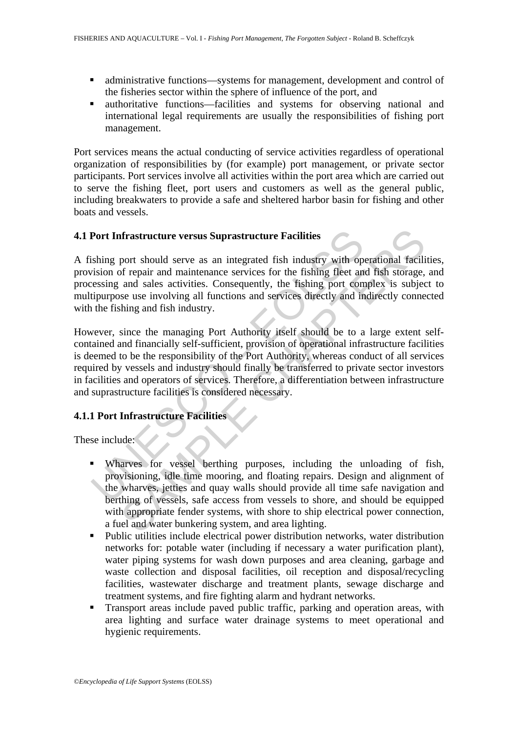- administrative functions—systems for management, development and control of the fisheries sector within the sphere of influence of the port, and
- authoritative functions—facilities and systems for observing national and international legal requirements are usually the responsibilities of fishing port management.

Port services means the actual conducting of service activities regardless of operational organization of responsibilities by (for example) port management, or private sector participants. Port services involve all activities within the port area which are carried out to serve the fishing fleet, port users and customers as well as the general public, including breakwaters to provide a safe and sheltered harbor basin for fishing and other boats and vessels.

## **4.1 Port Infrastructure versus Suprastructure Facilities**

A fishing port should serve as an integrated fish industry with operational facilities, provision of repair and maintenance services for the fishing fleet and fish storage, and processing and sales activities. Consequently, the fishing port complex is subject to multipurpose use involving all functions and services directly and indirectly connected with the fishing and fish industry.

**Port Infrastructure versus Suprastructure Facilities**<br>
sishing port should serve as an integrated fish industry with op<br>
vision of repair and maintenance services for the fishing fleet an<br>
exessing and sales activities. C **The structure versus Suprastructure Facilities**<br>port should serve as an integrated fish industry with operational facility<br>of repair and maintenance services for the fishing fleet and fish storage,<br>and sales activities. C However, since the managing Port Authority itself should be to a large extent selfcontained and financially self-sufficient, provision of operational infrastructure facilities is deemed to be the responsibility of the Port Authority, whereas conduct of all services required by vessels and industry should finally be transferred to private sector investors in facilities and operators of services. Therefore, a differentiation between infrastructure and suprastructure facilities is considered necessary.

## **4.1.1 Port Infrastructure Facilities**

These include:

- Wharves for vessel berthing purposes, including the unloading of fish, provisioning, idle time mooring, and floating repairs. Design and alignment of the wharves, jetties and quay walls should provide all time safe navigation and berthing of vessels, safe access from vessels to shore, and should be equipped with appropriate fender systems, with shore to ship electrical power connection, a fuel and water bunkering system, and area lighting.
- Public utilities include electrical power distribution networks, water distribution networks for: potable water (including if necessary a water purification plant), water piping systems for wash down purposes and area cleaning, garbage and waste collection and disposal facilities, oil reception and disposal/recycling facilities, wastewater discharge and treatment plants, sewage discharge and treatment systems, and fire fighting alarm and hydrant networks.
- Transport areas include paved public traffic, parking and operation areas, with area lighting and surface water drainage systems to meet operational and hygienic requirements.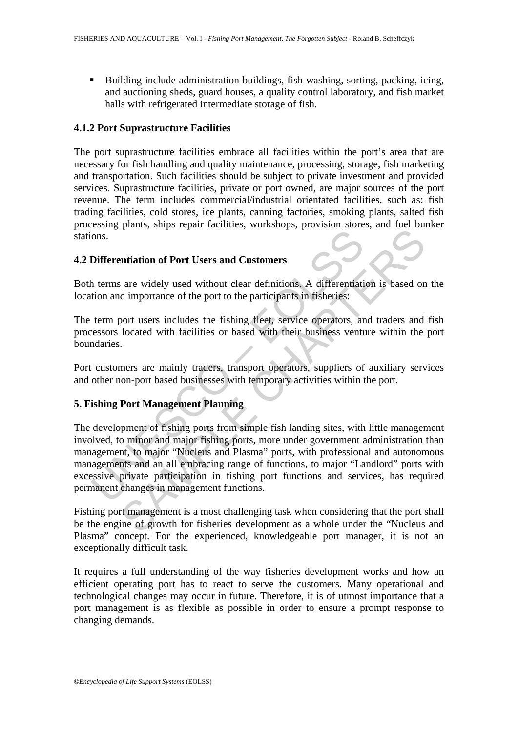Building include administration buildings, fish washing, sorting, packing, icing, and auctioning sheds, guard houses, a quality control laboratory, and fish market halls with refrigerated intermediate storage of fish.

### **4.1.2 Port Suprastructure Facilities**

The port suprastructure facilities embrace all facilities within the port's area that are necessary for fish handling and quality maintenance, processing, storage, fish marketing and transportation. Such facilities should be subject to private investment and provided services. Suprastructure facilities, private or port owned, are major sources of the port revenue. The term includes commercial/industrial orientated facilities, such as: fish trading facilities, cold stores, ice plants, canning factories, smoking plants, salted fish processing plants, ships repair facilities, workshops, provision stores, and fuel bunker stations.

### **4.2 Differentiation of Port Users and Customers**

Both terms are widely used without clear definitions. A differentiation is based on the location and importance of the port to the participants in fisheries:

The term port users includes the fishing fleet, service operators, and traders and fish processors located with facilities or based with their business venture within the port boundaries.

Port customers are mainly traders, transport operators, suppliers of auxiliary services and other non-port based businesses with temporary activities within the port.

### **5. Fishing Port Management Planning**

ons.<br>
Differentiation of Port Users and Customers<br>
h terms are widely used without clear definitions. A differentiation<br>
and importance of the port to the participants in fisheries:<br>
term port users includes the fishing fl Finally and **Customers**<br>are widely used without clear definitions. A differentiation is based on<br>d importance of the port to the participants in fisheries:<br>cort users includes the fishing fleet; service operators, and trad The development of fishing ports from simple fish landing sites, with little management involved, to minor and major fishing ports, more under government administration than management, to major "Nucleus and Plasma" ports, with professional and autonomous managements and an all embracing range of functions, to major "Landlord" ports with excessive private participation in fishing port functions and services, has required permanent changes in management functions.

Fishing port management is a most challenging task when considering that the port shall be the engine of growth for fisheries development as a whole under the "Nucleus and Plasma" concept. For the experienced, knowledgeable port manager, it is not an exceptionally difficult task.

It requires a full understanding of the way fisheries development works and how an efficient operating port has to react to serve the customers. Many operational and technological changes may occur in future. Therefore, it is of utmost importance that a port management is as flexible as possible in order to ensure a prompt response to changing demands.